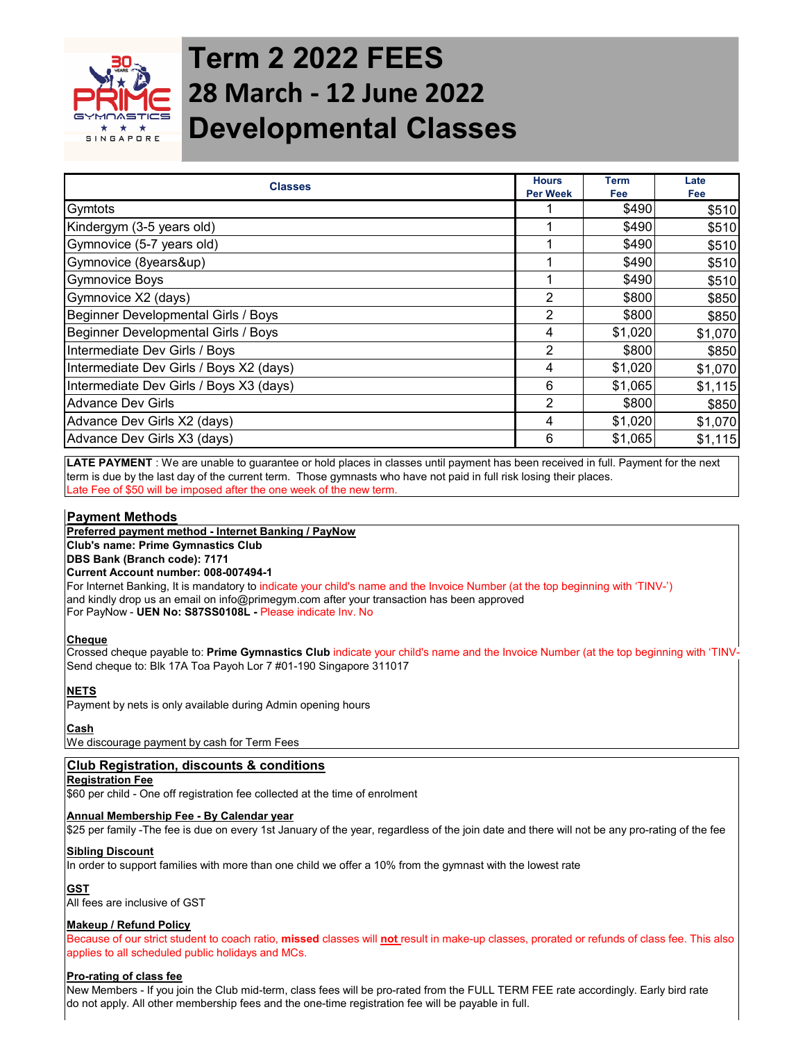

# **Term 2 2022 FEES 28 March - 12 June 2022 Developmental Classes**

| <b>Classes</b>                          | <b>Hours</b><br><b>Per Week</b> | <b>Term</b><br><b>Fee</b> | Late<br>Fee |
|-----------------------------------------|---------------------------------|---------------------------|-------------|
| Gymtots                                 |                                 | \$490                     | \$510       |
| Kindergym (3-5 years old)               |                                 | \$490                     | \$510       |
| Gymnovice (5-7 years old)               |                                 | \$490                     | \$510       |
| Gymnovice (8years&up)                   |                                 | \$490                     | \$510       |
| <b>Gymnovice Boys</b>                   |                                 | \$490                     | \$510       |
| Gymnovice X2 (days)                     | $\overline{2}$                  | \$800                     | \$850       |
| Beginner Developmental Girls / Boys     | $\overline{2}$                  | \$800                     | \$850       |
| Beginner Developmental Girls / Boys     | 4                               | \$1,020                   | \$1,070     |
| Intermediate Dev Girls / Boys           | $\overline{2}$                  | \$800                     | \$850       |
| Intermediate Dev Girls / Boys X2 (days) | 4                               | \$1,020                   | \$1,070     |
| Intermediate Dev Girls / Boys X3 (days) | 6                               | \$1,065                   | \$1,115     |
| <b>Advance Dev Girls</b>                | $\overline{2}$                  | \$800                     | \$850       |
| Advance Dev Girls X2 (days)             | 4                               | \$1,020                   | \$1,070     |
| Advance Dev Girls X3 (days)             | 6                               | \$1,065                   | \$1,115     |

**LATE PAYMENT** : We are unable to guarantee or hold places in classes until payment has been received in full. Payment for the next term is due by the last day of the current term. Those gymnasts who have not paid in full risk losing their places. Late Fee of \$50 will be imposed after the one week of the new term.

# **Payment Methods**

**Preferred payment method - Internet Banking / PayNow**

**Club's name: Prime Gymnastics Club**

**DBS Bank (Branch code): 7171 Current Account number: 008-007494-1**

For Internet Banking, It is mandatory to indicate your child's name and the Invoice Number (at the top beginning with 'TINV-') and kindly drop us an email on info@primegym.com after your transaction has been approved For PayNow - **UEN No: S87SS0108L -** Please indicate Inv. No

# **Cheque**

Crossed cheque payable to: **Prime Gymnastics Club** indicate your child's name and the Invoice Number (at the top beginning with 'TINV-') Send cheque to: Blk 17A Toa Payoh Lor 7 #01-190 Singapore 311017

# **NETS**

Payment by nets is only available during Admin opening hours

# **Cash**

We discourage payment by cash for Term Fees

# **Club Registration, discounts & conditions**

#### **Registration Fee**

\$60 per child - One off registration fee collected at the time of enrolment

#### **Annual Membership Fee - By Calendar year**

\$25 per family -The fee is due on every 1st January of the year, regardless of the join date and there will not be any pro-rating of the fee

# **Sibling Discount**

In order to support families with more than one child we offer a 10% from the gymnast with the lowest rate

# **GST**

All fees are inclusive of GST

# **Makeup / Refund Policy**

Because of our strict student to coach ratio, **missed** classes will **not** result in make-up classes, prorated or refunds of class fee. This also applies to all scheduled public holidays and MCs.

# **Pro-rating of class fee**

New Members - If you join the Club mid-term, class fees will be pro-rated from the FULL TERM FEE rate accordingly. Early bird rate do not apply. All other membership fees and the one-time registration fee will be payable in full.